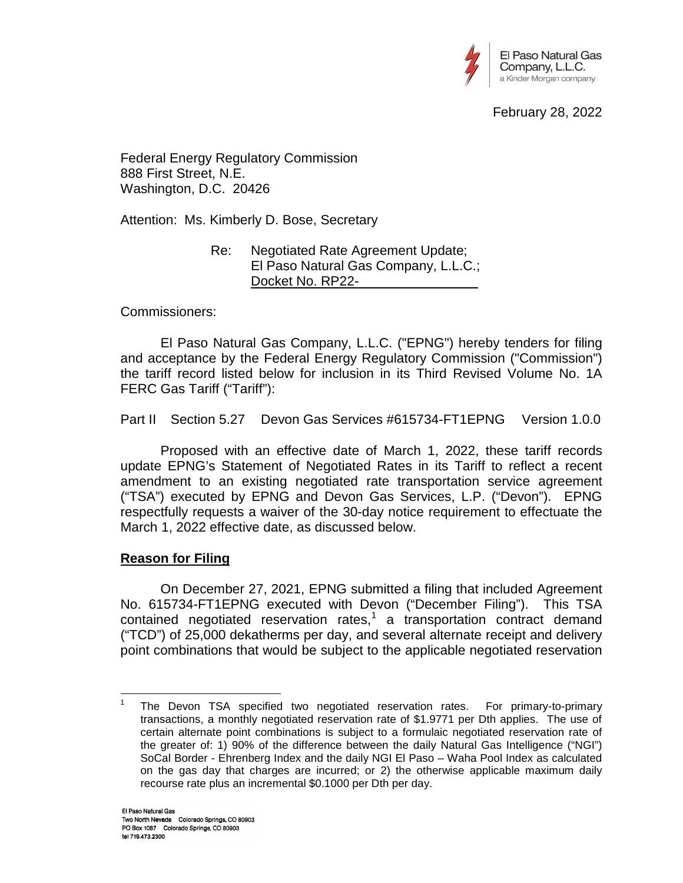

February 28, 2022

Federal Energy Regulatory Commission 888 First Street, N.E. Washington, D.C. 20426

Attention: Ms. Kimberly D. Bose, Secretary

Re: Negotiated Rate Agreement Update; El Paso Natural Gas Company, L.L.C.; Docket No. RP22-

Commissioners:

El Paso Natural Gas Company, L.L.C. ("EPNG") hereby tenders for filing and acceptance by the Federal Energy Regulatory Commission ("Commission") the tariff record listed below for inclusion in its Third Revised Volume No. 1A FERC Gas Tariff ("Tariff"):

Part II Section 5.27 Devon Gas Services #615734-FT1EPNG Version 1.0.0

Proposed with an effective date of March 1, 2022, these tariff records update EPNG's Statement of Negotiated Rates in its Tariff to reflect a recent amendment to an existing negotiated rate transportation service agreement ("TSA") executed by EPNG and Devon Gas Services, L.P. ("Devon"). EPNG respectfully requests a waiver of the 30-day notice requirement to effectuate the March 1, 2022 effective date, as discussed below.

# **Reason for Filing**

On December 27, 2021, EPNG submitted a filing that included Agreement No. 615734-FT1EPNG executed with Devon ("December Filing"). This TSA contained negotiated reservation rates,<sup>[1](#page-0-0)</sup> a transportation contract demand ("TCD") of 25,000 dekatherms per day, and several alternate receipt and delivery point combinations that would be subject to the applicable negotiated reservation

<span id="page-0-0"></span><sup>&</sup>lt;sup>1</sup> The Devon TSA specified two negotiated reservation rates. For primary-to-primary transactions, a monthly negotiated reservation rate of \$1.9771 per Dth applies. The use of certain alternate point combinations is subject to a formulaic negotiated reservation rate of the greater of: 1) 90% of the difference between the daily Natural Gas Intelligence ("NGI") SoCal Border - Ehrenberg Index and the daily NGI El Paso – Waha Pool Index as calculated on the gas day that charges are incurred; or 2) the otherwise applicable maximum daily recourse rate plus an incremental \$0.1000 per Dth per day.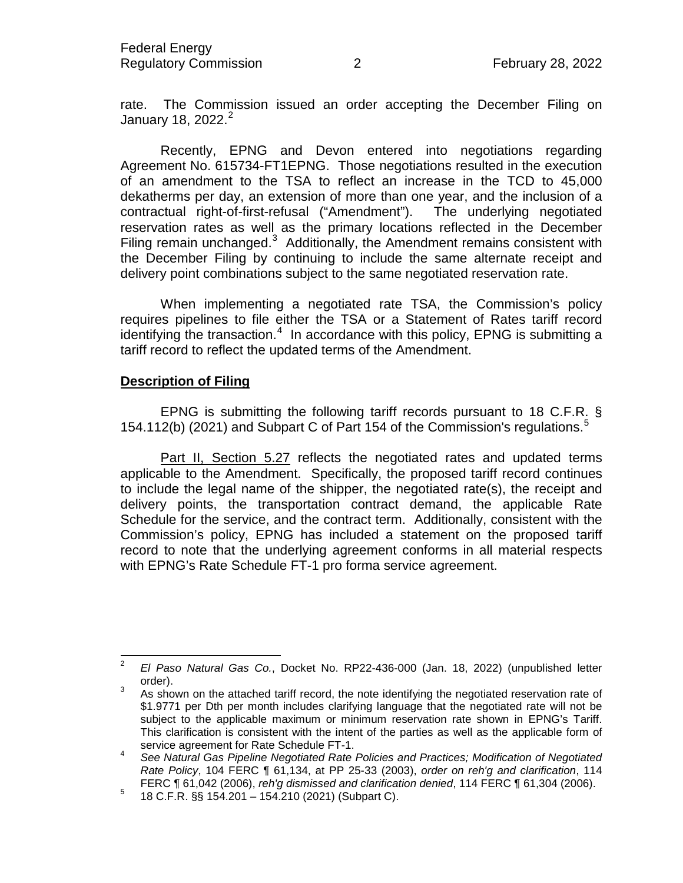rate. The Commission issued an order accepting the December Filing on January 18, [2](#page-1-0)022. $2$ 

Recently, EPNG and Devon entered into negotiations regarding Agreement No. 615734-FT1EPNG. Those negotiations resulted in the execution of an amendment to the TSA to reflect an increase in the TCD to 45,000 dekatherms per day, an extension of more than one year, and the inclusion of a contractual right-of-first-refusal ("Amendment"). The underlying negotiated reservation rates as well as the primary locations reflected in the December Filing remain unchanged. $3$  Additionally, the Amendment remains consistent with the December Filing by continuing to include the same alternate receipt and delivery point combinations subject to the same negotiated reservation rate.

When implementing a negotiated rate TSA, the Commission's policy requires pipelines to file either the TSA or a Statement of Rates tariff record identifying the transaction.<sup>[4](#page-1-2)</sup> In accordance with this policy, EPNG is submitting a tariff record to reflect the updated terms of the Amendment.

## **Description of Filing**

EPNG is submitting the following tariff records pursuant to 18 C.F.R. § 1[5](#page-1-3)4.112(b) (2021) and Subpart C of Part 154 of the Commission's regulations.<sup>5</sup>

Part II, Section 5.27 reflects the negotiated rates and updated terms applicable to the Amendment. Specifically, the proposed tariff record continues to include the legal name of the shipper, the negotiated rate(s), the receipt and delivery points, the transportation contract demand, the applicable Rate Schedule for the service, and the contract term. Additionally, consistent with the Commission's policy, EPNG has included a statement on the proposed tariff record to note that the underlying agreement conforms in all material respects with EPNG's Rate Schedule FT-1 pro forma service agreement.

<span id="page-1-0"></span><sup>2</sup> *El Paso Natural Gas Co.*, Docket No. RP22-436-000 (Jan. 18, 2022) (unpublished letter order).<br>3 As shown on the attached tariff record, the note identifying the negotiated reservation rate of

<span id="page-1-1"></span><sup>\$1.9771</sup> per Dth per month includes clarifying language that the negotiated rate will not be subject to the applicable maximum or minimum reservation rate shown in EPNG's Tariff. This clarification is consistent with the intent of the parties as well as the applicable form of service agreement for Rate Schedule FT-1.

<span id="page-1-2"></span><sup>4</sup> *See Natural Gas Pipeline Negotiated Rate Policies and Practices; Modification of Negotiated Rate Policy*, 104 FERC ¶ 61,134, at PP 25-33 (2003), *order on reh'g and clarification*, 114 FERC ¶ 61,042 (2006), *reh'g dismissed and clarification denied*, 114 FERC ¶ 61,304 (2006). <sup>5</sup> 18 C.F.R. §§ 154.201 – 154.210 (2021) (Subpart C).

<span id="page-1-3"></span>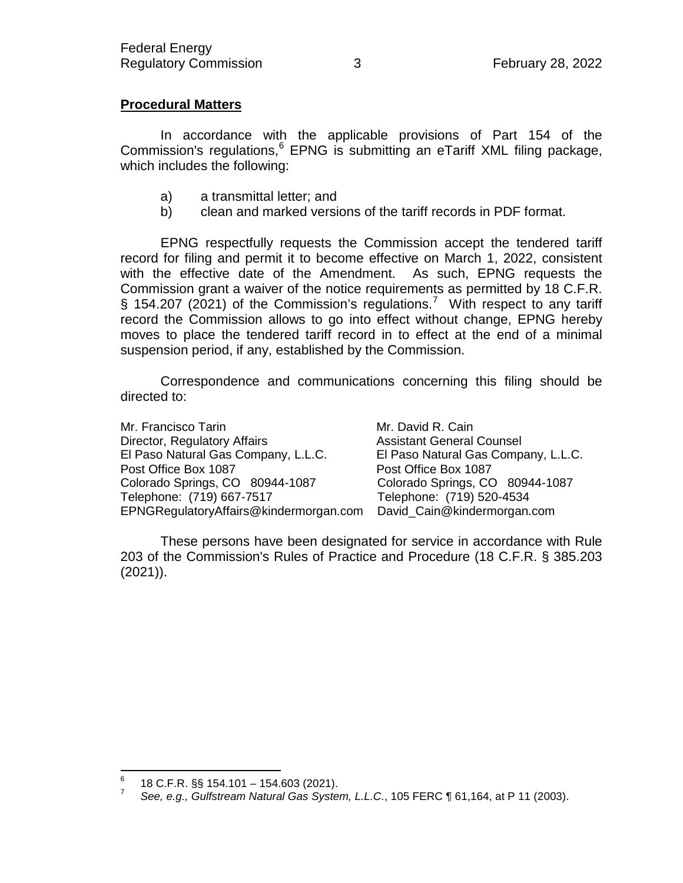# **Procedural Matters**

In accordance with the applicable provisions of Part 154 of the Commission's regulations,<sup>[6](#page-2-0)</sup> EPNG is submitting an eTariff XML filing package, which includes the following:

- a) a transmittal letter; and
- b) clean and marked versions of the tariff records in PDF format.

EPNG respectfully requests the Commission accept the tendered tariff record for filing and permit it to become effective on March 1, 2022, consistent with the effective date of the Amendment. As such, EPNG requests the Commission grant a waiver of the notice requirements as permitted by 18 C.F.R. § 154.20[7](#page-2-1) (2021) of the Commission's regulations.<sup>7</sup> With respect to any tariff record the Commission allows to go into effect without change, EPNG hereby moves to place the tendered tariff record in to effect at the end of a minimal suspension period, if any, established by the Commission.

Correspondence and communications concerning this filing should be directed to:

Mr. Francisco Tarin Mr. David R. Cain Director, Regulatory Affairs **And Assistant General Counsel** El Paso Natural Gas Company, L.L.C. El Paso Natural Gas Company, L.L.C. Post Office Box 1087 Post Office Box 1087 Colorado Springs, CO 80944-1087 Colorado Springs, CO 80944-1087 Telephone: (719) 667-7517 Telephone: (719) 520-4534 EPNGRegulatoryAffairs@kindermorgan.com David\_Cain@kindermorgan.com

These persons have been designated for service in accordance with Rule 203 of the Commission's Rules of Practice and Procedure (18 C.F.R. § 385.203 (2021)).

<span id="page-2-1"></span><span id="page-2-0"></span><sup>6</sup> 18 C.F.R. §§ 154.101 – 154.603 (2021). <sup>7</sup> *See, e.g., Gulfstream Natural Gas System, L.L.C.*, 105 FERC ¶ 61,164, at P 11 (2003).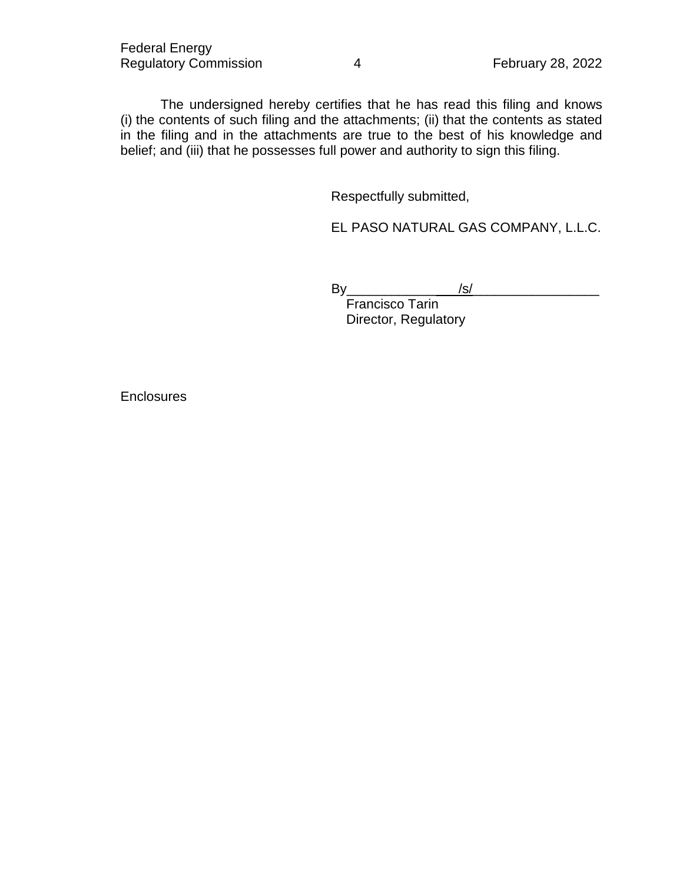The undersigned hereby certifies that he has read this filing and knows (i) the contents of such filing and the attachments; (ii) that the contents as stated in the filing and in the attachments are true to the best of his knowledge and belief; and (iii) that he possesses full power and authority to sign this filing.

Respectfully submitted,

EL PASO NATURAL GAS COMPANY, L.L.C.

By\_\_\_\_\_\_\_\_\_\_\_\_\_\_\_/s/\_\_\_\_\_\_\_\_\_\_\_\_\_\_\_\_\_

Francisco Tarin Director, Regulatory

**Enclosures**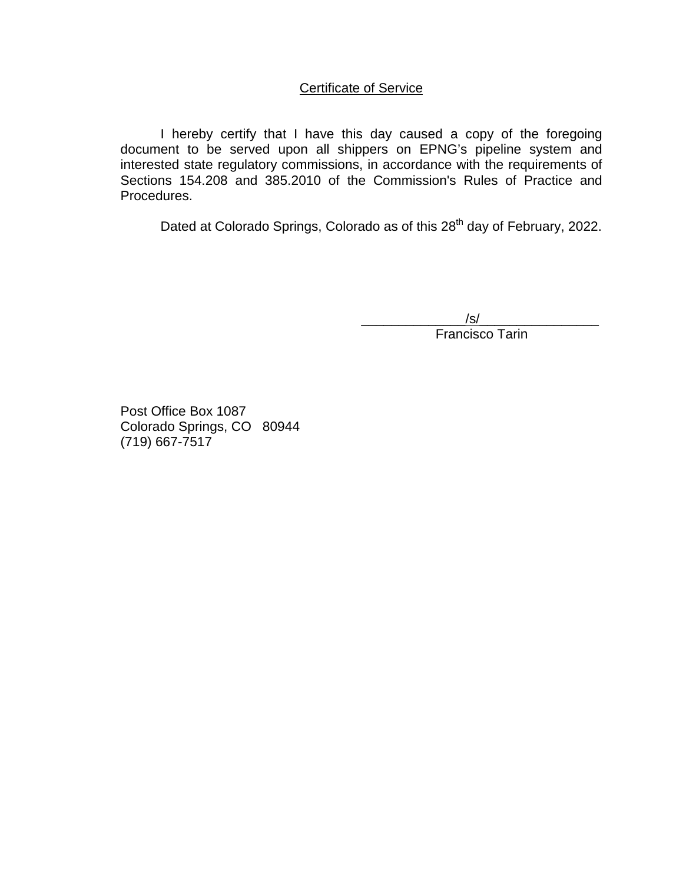# Certificate of Service

I hereby certify that I have this day caused a copy of the foregoing document to be served upon all shippers on EPNG's pipeline system and interested state regulatory commissions, in accordance with the requirements of Sections 154.208 and 385.2010 of the Commission's Rules of Practice and Procedures.

Dated at Colorado Springs, Colorado as of this 28<sup>th</sup> day of February, 2022.

\_\_\_\_\_\_\_\_\_\_\_\_\_\_/s/\_\_\_\_\_\_\_\_\_\_\_\_\_\_\_\_ Francisco Tarin

Post Office Box 1087 Colorado Springs, CO 80944 (719) 667-7517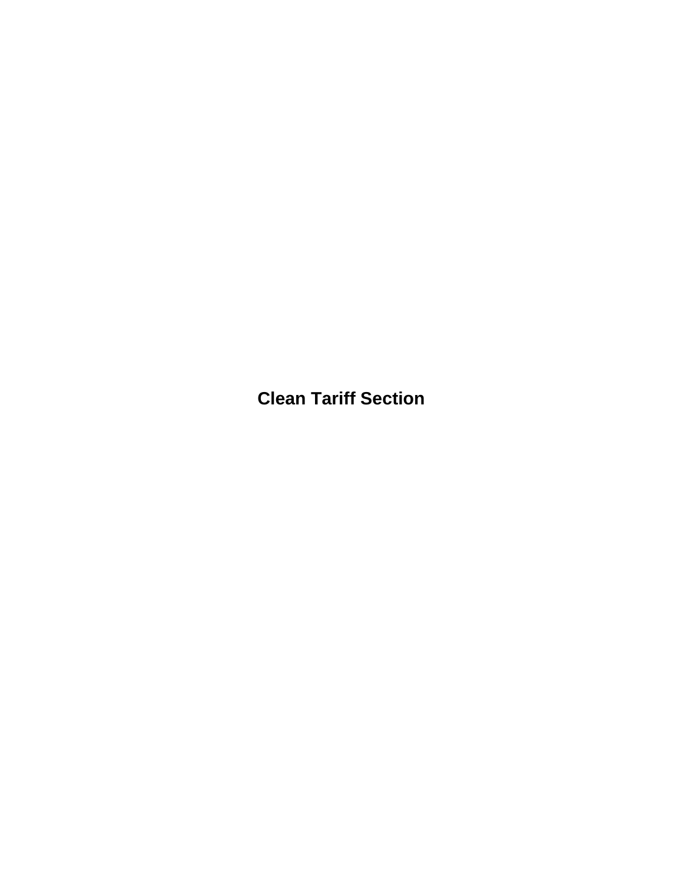**Clean Tariff Section**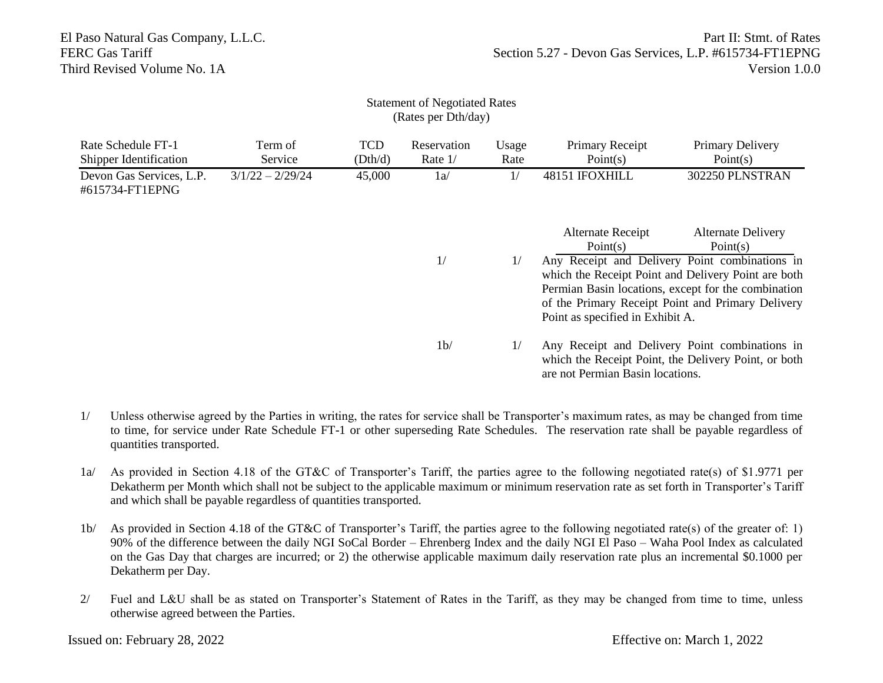| (Rates per Dth/day)                                 |                    |                       |                          |               |                                                                                                                                            |                                                                                                                                                                                                                   |  |  |  |  |  |
|-----------------------------------------------------|--------------------|-----------------------|--------------------------|---------------|--------------------------------------------------------------------------------------------------------------------------------------------|-------------------------------------------------------------------------------------------------------------------------------------------------------------------------------------------------------------------|--|--|--|--|--|
| Rate Schedule FT-1<br><b>Shipper Identification</b> | Term of<br>Service | <b>TCD</b><br>(Dth/d) | Reservation<br>Rate $1/$ | Usage<br>Rate | Primary Receipt<br>Point(s)                                                                                                                | Primary Delivery<br>Point $(s)$                                                                                                                                                                                   |  |  |  |  |  |
| Devon Gas Services, L.P.<br>#615734-FT1EPNG         | $3/1/22 - 2/29/24$ | 45,000                | 1a/                      | 1/            | 48151 IFOXHILL                                                                                                                             | 302250 PLNSTRAN                                                                                                                                                                                                   |  |  |  |  |  |
|                                                     |                    |                       |                          |               | <b>Alternate Receipt</b><br>Point(s)                                                                                                       | <b>Alternate Delivery</b><br>Point(s)                                                                                                                                                                             |  |  |  |  |  |
|                                                     |                    |                       | 1/                       | 1/            | Point as specified in Exhibit A.                                                                                                           | Any Receipt and Delivery Point combinations in<br>which the Receipt Point and Delivery Point are both<br>Permian Basin locations, except for the combination<br>of the Primary Receipt Point and Primary Delivery |  |  |  |  |  |
|                                                     |                    |                       | 1 <sub>b</sub>           | 1/            | Any Receipt and Delivery Point combinations in<br>which the Receipt Point, the Delivery Point, or both<br>are not Permian Basin locations. |                                                                                                                                                                                                                   |  |  |  |  |  |

Statement of Negotiated Rates

- 1/ Unless otherwise agreed by the Parties in writing, the rates for service shall be Transporter's maximum rates, as may be changed from time to time, for service under Rate Schedule FT-1 or other superseding Rate Schedules. The reservation rate shall be payable regardless of quantities transported.
- 1a/ As provided in Section 4.18 of the GT&C of Transporter's Tariff, the parties agree to the following negotiated rate(s) of \$1.9771 per Dekatherm per Month which shall not be subject to the applicable maximum or minimum reservation rate as set forth in Transporter's Tariff and which shall be payable regardless of quantities transported.
- 1b/ As provided in Section 4.18 of the GT&C of Transporter's Tariff, the parties agree to the following negotiated rate(s) of the greater of: 1) 90% of the difference between the daily NGI SoCal Border – Ehrenberg Index and the daily NGI El Paso – Waha Pool Index as calculated on the Gas Day that charges are incurred; or 2) the otherwise applicable maximum daily reservation rate plus an incremental \$0.1000 per Dekatherm per Day.
- 2/ Fuel and L&U shall be as stated on Transporter's Statement of Rates in the Tariff, as they may be changed from time to time, unless otherwise agreed between the Parties.

Issued on: February 28, 2022 Effective on: March 1, 2022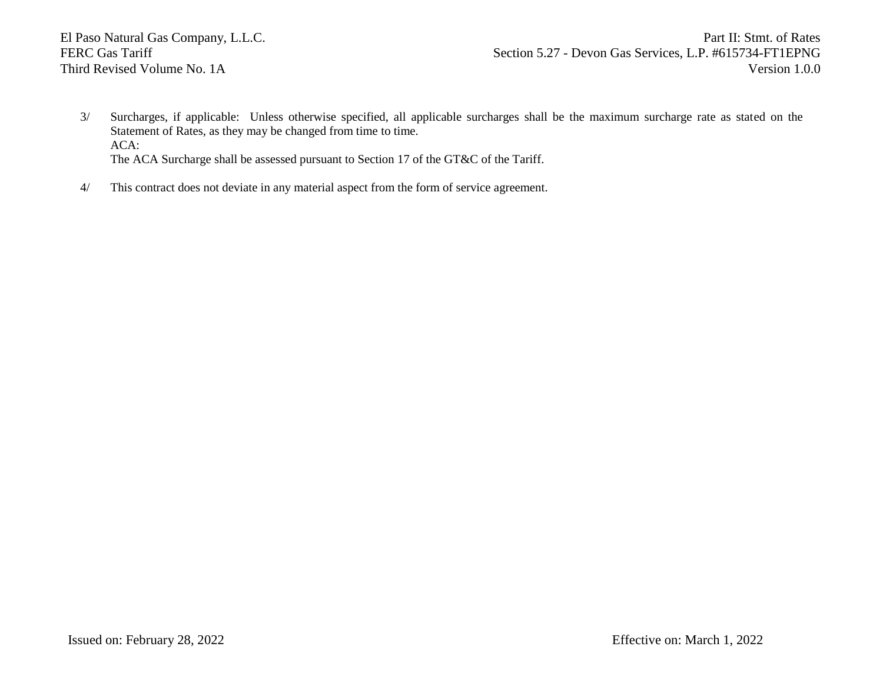El Paso Natural Gas Company, L.L.C. Part II: Stmt. of Rates FERC Gas Tariff Section 5.27 - Devon Gas Services, L.P. #615734-FT1EPNG Third Revised Volume No. 1A Version 1.0.0

- 3/ Surcharges, if applicable: Unless otherwise specified, all applicable surcharges shall be the maximum surcharge rate as stated on the Statement of Rates, as they may be changed from time to time. ACA: The ACA Surcharge shall be assessed pursuant to Section 17 of the GT&C of the Tariff.
- 4/ This contract does not deviate in any material aspect from the form of service agreement.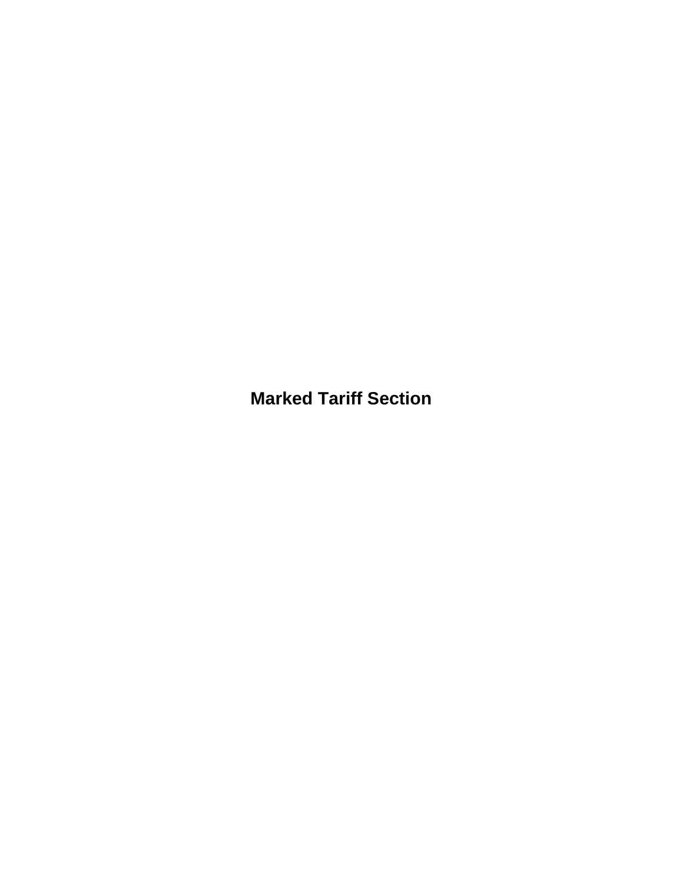**Marked Tariff Section**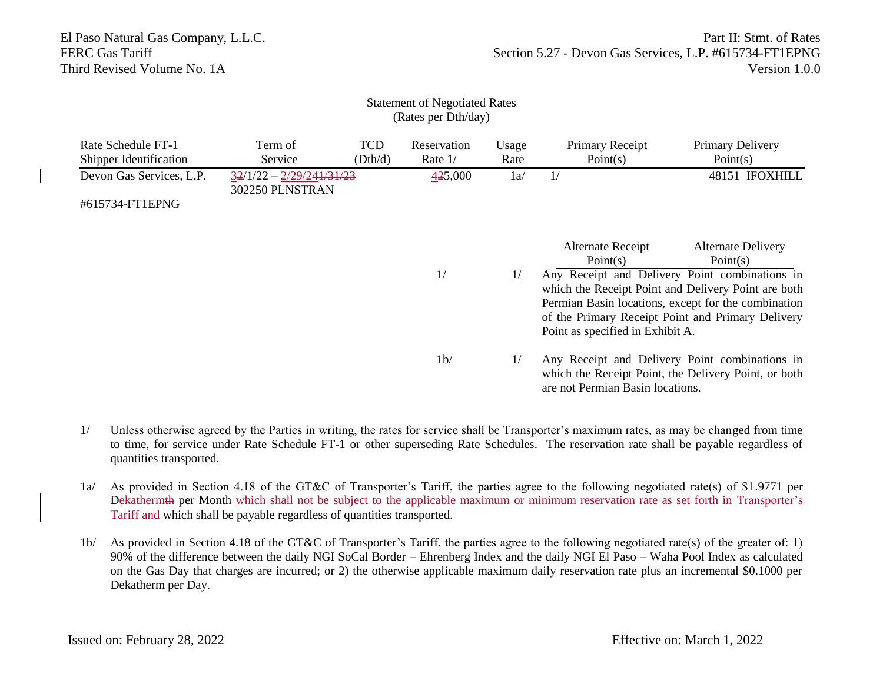### Statement of Negotiated Rates (Rates per Dth/day)

| Rate Schedule FT-1<br>Shipper Identification | Term of<br>Service                            | <b>TCD</b><br>(Dth/d) | Reservation<br>Rate $1/$ | Usage<br>Rate | Primary Receipt<br>Point(s)                                                                                                                | Primary Delivery<br>Point(s)                                  |  |
|----------------------------------------------|-----------------------------------------------|-----------------------|--------------------------|---------------|--------------------------------------------------------------------------------------------------------------------------------------------|---------------------------------------------------------------|--|
| Devon Gas Services, L.P.                     | $32/1/22 - 2/29/241/31/23$<br>302250 PLNSTRAN |                       | 425,000                  | 1a/           | 1/                                                                                                                                         | 48151 IFOXHILL                                                |  |
| #615734-FT1EPNG                              |                                               |                       |                          |               |                                                                                                                                            |                                                               |  |
|                                              |                                               |                       |                          |               | <b>Alternate Receipt</b>                                                                                                                   | <b>Alternate Delivery</b>                                     |  |
|                                              |                                               |                       | 1/<br>1/                 |               | Point(s)                                                                                                                                   | Point $(s)$<br>Any Receipt and Delivery Point combinations in |  |
|                                              |                                               |                       |                          |               | which the Receipt Point and Delivery Point are both<br>Permian Basin locations, except for the combination                                 |                                                               |  |
|                                              |                                               |                       |                          |               | Point as specified in Exhibit A.                                                                                                           | of the Primary Receipt Point and Primary Delivery             |  |
|                                              |                                               |                       | 1 <sub>b</sub>           | 1/            | Any Receipt and Delivery Point combinations in<br>which the Receipt Point, the Delivery Point, or both<br>are not Permian Basin locations. |                                                               |  |

- 1/ Unless otherwise agreed by the Parties in writing, the rates for service shall be Transporter's maximum rates, as may be changed from time to time, for service under Rate Schedule FT-1 or other superseding Rate Schedules. The reservation rate shall be payable regardless of quantities transported.
- 1a/ As provided in Section 4.18 of the GT&C of Transporter's Tariff, the parties agree to the following negotiated rate(s) of \$1.9771 per Dekathermth per Month which shall not be subject to the applicable maximum or minimum reservation rate as set forth in Transporter's Tariff and which shall be payable regardless of quantities transported.
- 1b/ As provided in Section 4.18 of the GT&C of Transporter's Tariff, the parties agree to the following negotiated rate(s) of the greater of: 1) 90% of the difference between the daily NGI SoCal Border – Ehrenberg Index and the daily NGI El Paso – Waha Pool Index as calculated on the Gas Day that charges are incurred; or 2) the otherwise applicable maximum daily reservation rate plus an incremental \$0.1000 per Dekatherm per Day.

Issued on: February 28, 2022 Effective on: March 1, 2022